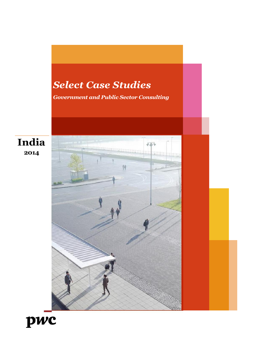



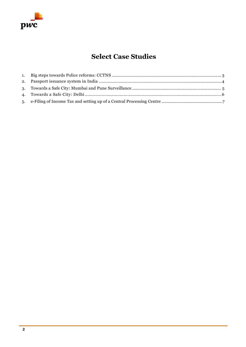

# **Select Case Studies**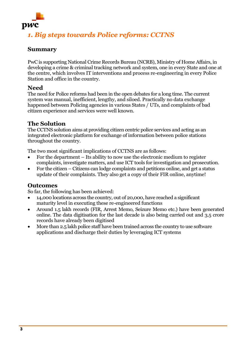

# *1. Big steps towards Police reforms: CCTNS*

### **Summary**

PwC is supporting National Crime Records Bureau (NCRB), Ministry of Home Affairs, in developing a crime & criminal tracking network and system, one in every State and one at the centre, which involves IT interventions and process re-engineering in every Police Station and office in the country.

#### **Need**

The need for Police reforms had been in the open debates for a long time. The current system was manual, inefficient, lengthy, and siloed. Practically no data exchange happened between Policing agencies in various States / UTs, and complaints of bad citizen experience and services were well known.

### **The Solution**

The CCTNS solution aims at providing citizen centric police services and acting as an integrated electronic platform for exchange of information between police stations throughout the country.

The two most significant implications of CCTNS are as follows:

- For the department Its ability to now use the electronic medium to register complaints, investigate matters, and use ICT tools for investigation and prosecution.
- For the citizen Citizens can lodge complaints and petitions online, and get a status update of their complaints. They also get a copy of their FIR online, anytime!

#### **Outcomes**

So far, the following has been achieved:

- 14,000 locations across the country, out of 20,000, have reached a significant maturity level in executing these re-engineered functions
- Around 1.5 lakh records (FIR, Arrest Memo, Seizure Memo etc.) have been generated online. The data digitisation for the last decade is also being carried out and 3.5 crore records have already been digitised
- More than 2.5 lakh police staff have been trained across the country to use software applications and discharge their duties by leveraging ICT systems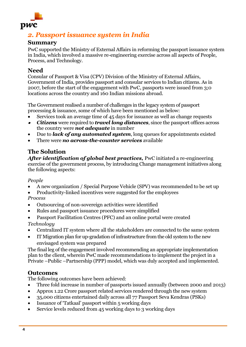

## *2. Passport issuance system in India*

### **Summary**

PwC supported the Ministry of External Affairs in reforming the passport issuance system in India, which involved a massive re-engineering exercise across all aspects of People, Process, and Technology.

### **Need**

Consular of Passport & Visa (CPV) Division of the Ministry of External Affairs, Government of India, provides passport and consular services to Indian citizens. As in 2007, before the start of the engagement with PwC, passports were issued from 3;0 locations across the country and 160 Indian missions abroad.

The Government realised a number of challenges in the legacy system of passport processing & issuance, some of which have been mentioned as below:

- Services took an average time of 45 days for issuance as well as change requests
- $\bullet$  *Citizens* were required to *travel long distances*, since the passport offices across the country were *not adequate* in number
- Due to *lack of any automated system*, long queues for appointments existed
- There were *no across-the-counter services* available

## **The Solution**

*After identification of global best practices,* PwC initiated a re-engineering exercise of the government process, by introducing Change management initiatives along the following aspects:

#### *People*

A new organization / Special Purpose Vehicle (SPV) was recommended to be set up

• Productivity-linked incentives were suggested for the employees *Process*

- Outsourcing of non-sovereign activities were identified
- Rules and passport issuance procedures were simplified
- Passport Facilitation Centres (PFC) and an online portal were created

#### *Technology*

- Centralized IT system where all the stakeholders are connected to the same system
- IT Migration plan for up-gradation of infrastructure from the old system to the new envisaged system was prepared

The final leg of the engagement involved recommending an appropriate implementation plan to the client, wherein PwC made recommendations to implement the project in a Private –Public –Partnership (PPP) model, which was duly accepted and implemented.

## **Outcomes**

The following outcomes have been achieved:

- Three fold increase in number of passports issued annually (between 2000 and 2013)
- Approx 1.22 Crore passport related services rendered through the new system
- 35,000 citizens entertained daily across all 77 Passport Seva Kendras (PSKs)
- Issuance of 'Tatkaal' passport within 5 working days
- Service levels reduced from 45 working days to 3 working days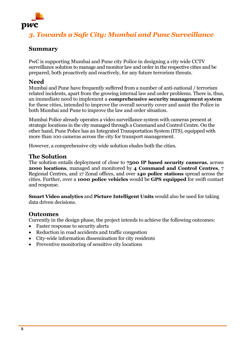

## *3. Towards a Safe City: Mumbai and Pune Surveillance*

## **Summary**

PwC is supporting Mumbai and Pune city Police in designing a city wide CCTV surveillance solution to manage and monitor law and order in the respective cities and be prepared, both proactively and reactively, for any future terrorism threats.

#### **Need**

Mumbai and Pune have frequently suffered from a number of anti-national / terrorism related incidents, apart from the growing internal law and order problems. There is, thus, an immediate need to implement a **comprehensive security management system** for these cities, intended to improve the overall security cover and assist the Police in both Mumbai and Pune to improve the law and order situation.

Mumbai Police already operates a video surveillance system with cameras present at strategic locations in the city managed through a Command and Control Centre. On the other hand, Pune Police has an Integrated Transportation System (ITS), equipped with more than 100 cameras across the city for transport management.

However, a comprehensive city wide solution eludes both the cities.

#### **The Solution**

The solution entails deployment of close to **7500 IP based security cameras**, across **2000 locations**, managed and monitored by **4 Command and Control Centres**, 7 Regional Centres, and 17 Zonal offices, and over **140 police stations** spread across the cities. Further, over a **1000 police vehicles** would be **GPS equipped** for swift contact and response.

**Smart Video analytics** and **Picture Intelligent Units** would also be used for taking data driven decisions.

#### **Outcomes**

Currently in the design phase, the project intends to achieve the following outcomes:

- Faster response to security alerts
- Reduction in road accidents and traffic congestion
- City-wide information dissemination for city residents
- Preventive monitoring of sensitive city locations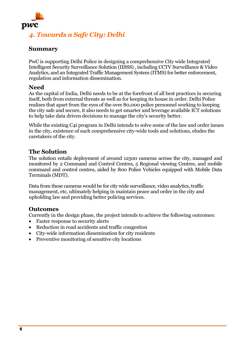

# *4. Towards a Safe City: Delhi*

## **Summary**

PwC is supporting Delhi Police in designing a comprehensive City wide Integrated Intelligent Security Surveillance Solution (IISSS) , including CCTV Surveillance & Video Analytics, and an Integrated Traffic Management System (ITMS) for better enforcement, regulation and information dissemination.

#### **Need**

As the capital of India, Delhi needs to be at the forefront of all best practices in securing itself, both from external threats as well as for keeping its house in order. Delhi Police realises that apart from the eyes of the over 80,000 police personnel working to keeping the city safe and secure, it also needs to get smarter and leverage available ICT solutions to help take data driven decisions to manage the city's security better.

While the existing C4i program in Delhi intends to solve some of the law and order issues in the city, existence of such comprehensive city-wide tools and solutions, eludes the caretakers of the city.

### **The Solution**

The solution entails deployment of around 12500 cameras across the city, managed and monitored by 2 Command and Control Centres, 5 Regional viewing Centres, and mobile command and control centres, aided by 800 Police Vehicles equipped with Mobile Data Terminals (MDT).

Data from these cameras would be for city wide surveillance, video analytics, traffic management, etc, ultimately helping in maintain peace and order in the city and upholding law and providing better policing services.

#### **Outcomes**

Currently in the design phase, the project intends to achieve the following outcomes:

- Faster response to security alerts
- Reduction in road accidents and traffic congestion
- City-wide information dissemination for city residents
- Preventive monitoring of sensitive city locations